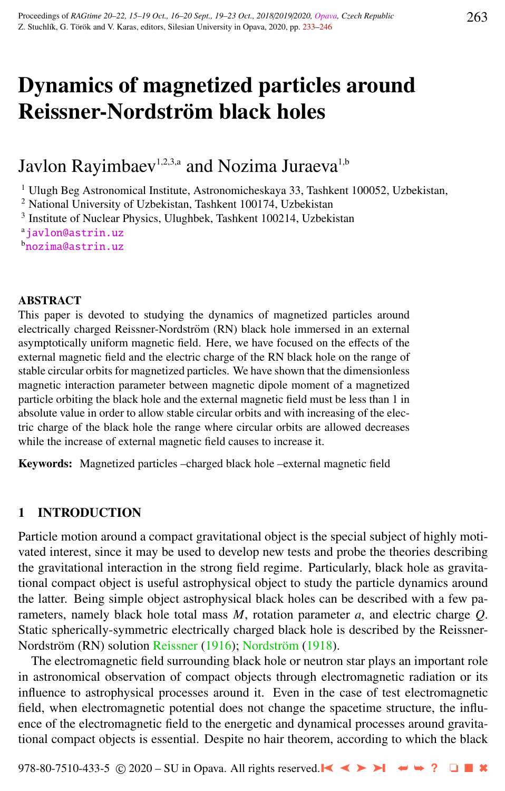# Dynamics of magnetized particles around Reissner-Nordström black holes

Javlon Rayimbaev<sup>1,2,3,a</sup> and Nozima Juraeva<sup>1,b</sup>

<sup>1</sup> Ulugh Beg Astronomical Institute, Astronomicheskaya 33, Tashkent 100052, Uzbekistan,

<sup>2</sup> National University of Uzbekistan, Tashkent 100174, Uzbekistan

<sup>3</sup> Institute of Nuclear Physics, Ulughbek, Tashkent 100214, Uzbekistan

a[javlon@astrin.uz](http://www.physics.cz/ javlon@astrin.uz)

<sup>b</sup>[nozima@astrin.uz](http://www.physics.cz/ nozima@astrin.uz)

#### ABSTRACT

This paper is devoted to studying the dynamics of magnetized particles around electrically charged Reissner-Nordström (RN) black hole immersed in an external asymptotically uniform magnetic field. Here, we have focused on the effects of the external magnetic field and the electric charge of the RN black hole on the range of stable circular orbits for magnetized particles. We have shown that the dimensionless magnetic interaction parameter between magnetic dipole moment of a magnetized particle orbiting the black hole and the external magnetic field must be less than 1 in absolute value in order to allow stable circular orbits and with increasing of the electric charge of the black hole the range where circular orbits are allowed decreases while the increase of external magnetic field causes to increase it.

Keywords: Magnetized particles –charged black hole –external magnetic field

## 1 INTRODUCTION

Particle motion around a compact gravitational object is the special subject of highly motivated interest, since it may be used to develop new tests and probe the theories describing the gravitational interaction in the strong field regime. Particularly, black hole as gravitational compact object is useful astrophysical object to study the particle dynamics around the latter. Being simple object astrophysical black holes can be described with a few parameters, namely black hole total mass *M*, rotation parameter *a*, and electric charge *Q*. Static spherically-symmetric electrically charged black hole is described by the Reissner-Nordström (RN) solution [Reissner](#page-12-0) [\(1916\)](#page-12-0); Nordström [\(1918\)](#page-12-0).

The electromagnetic field surrounding black hole or neutron star plays an important role in astronomical observation of compact objects through electromagnetic radiation or its influence to astrophysical processes around it. Even in the case of test electromagnetic field, when electromagnetic potential does not change the spacetime structure, the influence of the electromagnetic field to the energetic and dynamical processes around gravitational compact objects is essential. Despite no hair theorem, according to which the black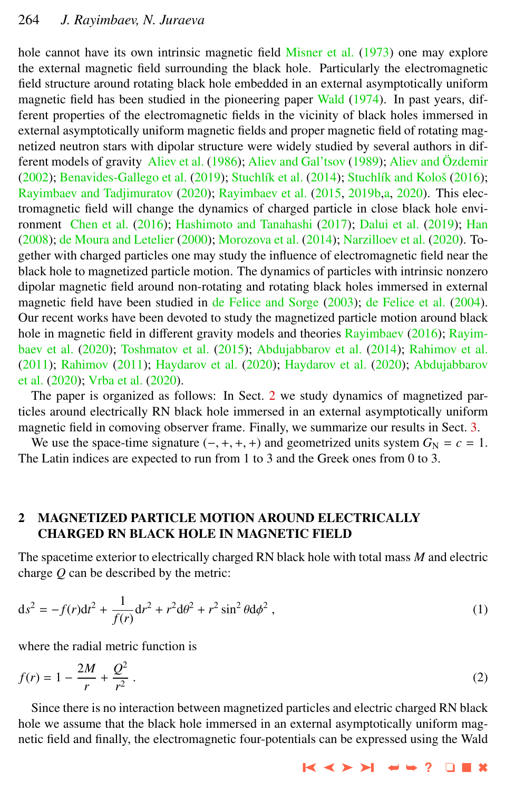<span id="page-1-0"></span>hole cannot have its own intrinsic magnetic field [Misner et al.](#page-12-0) [\(1973\)](#page-12-0) one may explore the external magnetic field surrounding the black hole. Particularly the electromagnetic field structure around rotating black hole embedded in an external asymptotically uniform magnetic field has been studied in the pioneering paper [Wald](#page-13-0) [\(1974\)](#page-13-0). In past years, different properties of the electromagnetic fields in the vicinity of black holes immersed in external asymptotically uniform magnetic fields and proper magnetic field of rotating magnetized neutron stars with dipolar structure were widely studied by several authors in dif-ferent models of gravity [Aliev et al.](#page-11-0) [\(1986\)](#page-11-0); [Aliev and Gal'tsov](#page-11-0) [\(1989\)](#page-11-0); [Aliev and](#page-11-0) Özdemir [\(2002\)](#page-11-0); [Benavides-Gallego et al.](#page-11-0) [\(2019\)](#page-11-0); Stuchlík et al. [\(2014\)](#page-13-0); Stuchlík and Kološ [\(2016\)](#page-13-0); [Rayimbaev and Tadjimuratov](#page-12-0) [\(2020\)](#page-12-0); [Rayimbaev et al.](#page-12-0) [\(2015,](#page-12-0) [2019b,a,](#page-12-0) [2020\)](#page-12-0). This electromagnetic field will change the dynamics of charged particle in close black hole environment [Chen et al.](#page-11-0) [\(2016\)](#page-11-0); [Hashimoto and Tanahashi](#page-11-0) [\(2017\)](#page-11-0); [Dalui et al.](#page-11-0) [\(2019\)](#page-11-0); [Han](#page-11-0) [\(2008\)](#page-11-0); [de Moura and Letelier](#page-11-0) [\(2000\)](#page-11-0); [Morozova et al.](#page-12-0) [\(2014\)](#page-12-0); [Narzilloev et al.](#page-12-0) [\(2020\)](#page-12-0). Together with charged particles one may study the influence of electromagnetic field near the black hole to magnetized particle motion. The dynamics of particles with intrinsic nonzero dipolar magnetic field around non-rotating and rotating black holes immersed in external magnetic field have been studied in [de Felice and Sorge](#page-11-0) [\(2003\)](#page-11-0); [de Felice et al.](#page-11-0) [\(2004\)](#page-11-0). Our recent works have been devoted to study the magnetized particle motion around black hole in magnetic field in different gravity models and theories [Rayimbaev](#page-12-0) [\(2016\)](#page-12-0); [Rayim](#page-12-0)[baev et al.](#page-12-0) [\(2020\)](#page-12-0); [Toshmatov et al.](#page-13-0) [\(2015\)](#page-13-0); [Abdujabbarov et al.](#page-11-0) [\(2014\)](#page-11-0); [Rahimov et al.](#page-12-0) [\(2011\)](#page-12-0); [Rahimov](#page-12-0) [\(2011\)](#page-12-0); [Haydarov et al.](#page-12-0) [\(2020\)](#page-12-0); [Haydarov et al.](#page-12-0) [\(2020\)](#page-12-0); [Abdujabbarov](#page-11-0) [et al.](#page-11-0) [\(2020\)](#page-11-0); [Vrba et al.](#page-13-0) [\(2020\)](#page-13-0).

The paper is organized as follows: In Sect. 2 we study dynamics of magnetized particles around electrically RN black hole immersed in an external asymptotically uniform magnetic field in comoving observer frame. Finally, we summarize our results in Sect. [3.](#page-10-0)

We use the space-time signature  $(-, +, +, +)$  and geometrized units system  $G_N = c = 1$ . The Latin indices are expected to run from 1 to 3 and the Greek ones from 0 to 3.

# 2 MAGNETIZED PARTICLE MOTION AROUND ELECTRICALLY CHARGED RN BLACK HOLE IN MAGNETIC FIELD

The spacetime exterior to electrically charged RN black hole with total mass *M* and electric charge *Q* can be described by the metric:

$$
ds^{2} = -f(r)dt^{2} + \frac{1}{f(r)}dr^{2} + r^{2}d\theta^{2} + r^{2}\sin^{2}\theta d\phi^{2},
$$
\n(1)

where the radial metric function is

$$
f(r) = 1 - \frac{2M}{r} + \frac{Q^2}{r^2} \,. \tag{2}
$$

Since there is no interaction between magnetized particles and electric charged RN black hole we assume that the black hole immersed in an external asymptotically uniform magnetic field and finally, the electromagnetic four-potentials can be expressed using the Wald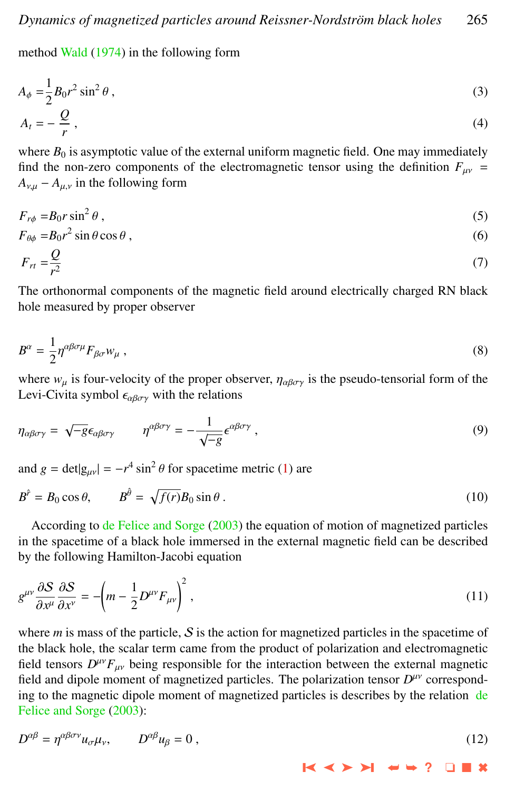<span id="page-2-0"></span>method [Wald](#page-13-0) [\(1974\)](#page-13-0) in the following form

$$
A_{\phi} = \frac{1}{2} B_0 r^2 \sin^2 \theta,
$$
  
\n
$$
A_t = -\frac{Q}{r},
$$
\n(3)

where  $B_0$  is asymptotic value of the external uniform magnetic field. One may immediately find the non-zero components of the electromagnetic tensor using the definition  $F_{\mu\nu}$  =  $A_{v,u} - A_{u,v}$  in the following form

$$
F_{r\phi} = B_0 r \sin^2 \theta \tag{5}
$$

$$
F_{\theta\phi} = B_0 r^2 \sin \theta \cos \theta, \tag{6}
$$

$$
F_{rt} = \frac{\mathcal{Z}}{r^2} \tag{7}
$$

The orthonormal components of the magnetic field around electrically charged RN black hole measured by proper observer

$$
B^{\alpha} = \frac{1}{2} \eta^{\alpha \beta \sigma \mu} F_{\beta \sigma} w_{\mu} \,, \tag{8}
$$

where  $w_{\mu}$  is four-velocity of the proper observer,  $\eta_{\alpha\beta\sigma\gamma}$  is the pseudo-tensorial form of the Levi-Civita symbol  $\epsilon_{\alpha\beta\sigma\gamma}$  with the relations

$$
\eta_{\alpha\beta\sigma\gamma} = \sqrt{-g}\epsilon_{\alpha\beta\sigma\gamma} \qquad \eta^{\alpha\beta\sigma\gamma} = -\frac{1}{\sqrt{-g}}\epsilon^{\alpha\beta\sigma\gamma} , \qquad (9)
$$

and  $g = det|g_{\mu\nu}| = -r^4 \sin^2 \theta$  for spacetime metric [\(1\)](#page-1-0) are

$$
B^{\hat{r}} = B_0 \cos \theta, \qquad B^{\hat{\theta}} = \sqrt{f(r)} B_0 \sin \theta \,. \tag{10}
$$

According to [de Felice and Sorge](#page-11-0) [\(2003\)](#page-11-0) the equation of motion of magnetized particles in the spacetime of a black hole immersed in the external magnetic field can be described by the following Hamilton-Jacobi equation

$$
g^{\mu\nu}\frac{\partial S}{\partial x^{\mu}}\frac{\partial S}{\partial x^{\nu}} = -\left(m - \frac{1}{2}D^{\mu\nu}F_{\mu\nu}\right)^2,\tag{11}
$$

where  $m$  is mass of the particle,  $S$  is the action for magnetized particles in the spacetime of the black hole, the scalar term came from the product of polarization and electromagnetic field tensors  $D^{\mu\nu}F_{\mu\nu}$  being responsible for the interaction between the external magnetic field and dinels moment of mognetized perticles. The polarization tensor  $D^{\mu\nu}$  correspond field and dipole moment of magnetized particles. The polarization tensor *D<sup>μν</sup>* corresponding to the magnetic dipole moment of magnetized particles is describes by the relation [de](#page-11-0) [Felice and Sorge](#page-11-0) [\(2003\)](#page-11-0):

$$
D^{\alpha\beta} = \eta^{\alpha\beta\sigma\nu} u_{\sigma}\mu_{\nu}, \qquad D^{\alpha\beta} u_{\beta} = 0, \qquad (12)
$$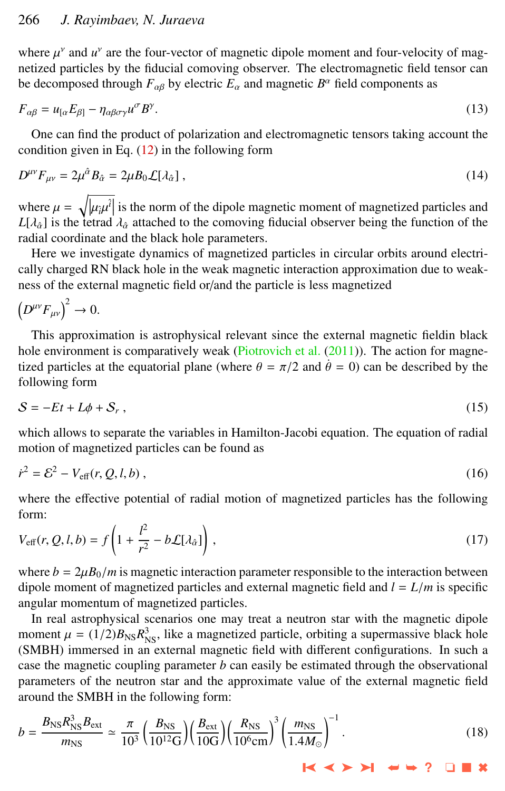<span id="page-3-0"></span>where  $\mu^{\nu}$  and  $u^{\nu}$  are the four-vector of magnetic dipole moment and four-velocity of magnetized particles by the fiducial comoving observer. The electromagnetic field tensor can netized particles by the fiducial comoving observer. The electromagnetic field tensor can be decomposed through  $F_{\alpha\beta}$  by electric  $E_{\alpha}$  and magnetic  $B^{\alpha}$  field components as

$$
F_{\alpha\beta} = u_{\alpha} E_{\beta 1} - \eta_{\alpha\beta\sigma\gamma} u^{\sigma} B^{\gamma}.
$$
\n(13)

One can find the product of polarization and electromagnetic tensors taking account the condition given in Eq.  $(12)$  in the following form

$$
D^{\mu\nu}F_{\mu\nu} = 2\mu^{\hat{\alpha}}B_{\hat{\alpha}} = 2\mu B_0 \mathcal{L}[\lambda_{\hat{\alpha}}] \,,\tag{14}
$$

where  $\mu = \sqrt{|\mu_{\hat{i}}\mu^{\hat{i}}|}$  is the norm of the dipole magnetic moment of magnetized particles and  $I[\lambda_{\hat{i}}]$  is the tetrad  $\lambda_{\hat{i}}$  attached to the computing fiducial observer being the function of the  $L[\lambda_{\hat{\alpha}}]$  is the tetrad  $\lambda_{\hat{\alpha}}$  attached to the comoving fiducial observer being the function of the radial coordinate and the black hole parameters radial coordinate and the black hole parameters.

Here we investigate dynamics of magnetized particles in circular orbits around electrically charged RN black hole in the weak magnetic interaction approximation due to weakness of the external magnetic field or/and the particle is less magnetized

$$
\left(D^{\mu\nu}F_{\mu\nu}\right)^2 \to 0.
$$

This approximation is astrophysical relevant since the external magnetic fieldin black hole environment is comparatively weak [\(Piotrovich et al.](#page-12-0)  $(2011)$ ). The action for magnetized particles at the equatorial plane (where  $\theta = \pi/2$  and  $\dot{\theta} = 0$ ) can be described by the following form

$$
S = -Et + L\phi + S_r, \qquad (15)
$$

which allows to separate the variables in Hamilton-Jacobi equation. The equation of radial motion of magnetized particles can be found as

$$
\dot{r}^2 = \mathcal{E}^2 - V_{\text{eff}}(r, Q, l, b) \,,\tag{16}
$$

where the effective potential of radial motion of magnetized particles has the following form:

$$
V_{\text{eff}}(r, Q, l, b) = f\left(1 + \frac{l^2}{r^2} - b\mathcal{L}[\lambda_{\hat{\alpha}}]\right),\tag{17}
$$

where  $b = 2\mu B_0/m$  is magnetic interaction parameter responsible to the interaction between dipole moment of magnetized particles and external magnetic field and  $l = L/m$  is specific angular momentum of magnetized particles.

In real astrophysical scenarios one may treat a neutron star with the magnetic dipole moment  $\mu = (1/2)B_{\text{NS}}R_{\text{NS}}^3$ , like a magnetized particle, orbiting a supermassive black hole<br>(SMBH) immersed in an external magnetic field with different configurations. In such a (SMBH) immersed in an external magnetic field with different configurations. In such a case the magnetic coupling parameter  $b$  can easily be estimated through the observational parameters of the neutron star and the approximate value of the external magnetic field around the SMBH in the following form:

$$
b = \frac{B_{\rm NS} R_{\rm NS}^3 B_{\rm ext}}{m_{\rm NS}} \simeq \frac{\pi}{10^3} \left( \frac{B_{\rm NS}}{10^{12} \text{G}} \right) \left( \frac{B_{\rm ext}}{10 \text{G}} \right) \left( \frac{R_{\rm NS}}{10^6 \text{cm}} \right)^3 \left( \frac{m_{\rm NS}}{1.4 M_{\odot}} \right)^{-1} . \tag{18}
$$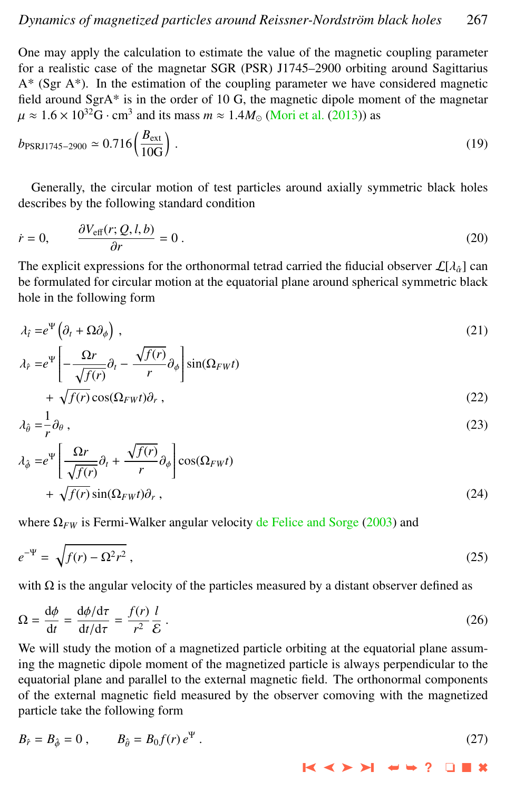<span id="page-4-0"></span>One may apply the calculation to estimate the value of the magnetic coupling parameter for a realistic case of the magnetar SGR (PSR) J1745–2900 orbiting around Sagittarius  $A^*$  (Sgr  $A^*$ ). In the estimation of the coupling parameter we have considered magnetic field around SgrA\* is in the order of 10 G, the magnetic dipole moment of the magnetar  $\mu \approx 1.6 \times 10^{32}$ G·cm<sup>3</sup> and its mass  $m \approx 1.4 M_{\odot}$  [\(Mori et al.](#page-12-0) [\(2013\)](#page-12-0)) as

$$
b_{\text{PSRJ1745-2900}} \simeq 0.716 \left( \frac{B_{\text{ext}}}{10 \text{G}} \right). \tag{19}
$$

Generally, the circular motion of test particles around axially symmetric black holes describes by the following standard condition

$$
\dot{r} = 0, \qquad \frac{\partial V_{\text{eff}}(r; Q, l, b)}{\partial r} = 0.
$$
\n(20)

The explicit expressions for the orthonormal tetrad carried the fiducial observer  $\mathcal{L}[\lambda_a]$  can<br>be formulated for circular motion at the equatorial plane around spherical symmetric black be formulated for circular motion at the equatorial plane around spherical symmetric black hole in the following form

$$
\lambda_{\hat{t}} = e^{\Psi} \left( \partial_t + \Omega \partial_{\phi} \right) , \tag{21}
$$

$$
\lambda_{\hat{r}} = e^{\Psi} \left[ -\frac{\Omega r}{\sqrt{f(r)}} \partial_t - \frac{\sqrt{f(r)}}{r} \partial_{\phi} \right] \sin(\Omega_{FW} t)
$$

$$
+\sqrt{f(r)}\cos(\Omega_{FW}t)\partial_r\,,\tag{22}
$$

$$
\lambda_{\hat{\theta}} = -\frac{1}{r} \partial_{\theta} \,, \tag{23}
$$

$$
\lambda_{\phi} = e^{\Psi} \left[ \frac{\Omega r}{\sqrt{f(r)}} \partial_t + \frac{\sqrt{f(r)}}{r} \partial_{\phi} \right] \cos(\Omega_{FW} t) + \sqrt{f(r)} \sin(\Omega_{FW} t) \partial_r,
$$
\n(24)

where  $\Omega_{FW}$  is Fermi-Walker angular velocity [de Felice and Sorge](#page-11-0) [\(2003\)](#page-11-0) and

$$
e^{-\Psi} = \sqrt{f(r) - \Omega^2 r^2} \tag{25}
$$

with  $\Omega$  is the angular velocity of the particles measured by a distant observer defined as

$$
\Omega = \frac{d\phi}{dt} = \frac{d\phi/d\tau}{dt/d\tau} = \frac{f(r)}{r^2} \frac{l}{\mathcal{E}}.
$$
\n(26)

\nWe will study the motion of a magnetized particle orbiting at the equatorial plane assumption.

ing the magnetic dipole moment of the magnetized particle is always perpendicular to the equatorial plane and parallel to the external magnetic field. The orthonormal components of the external magnetic field measured by the observer comoving with the magnetized particle take the following form

$$
B_{\hat{r}} = B_{\hat{\phi}} = 0 , \qquad B_{\hat{\theta}} = B_0 f(r) e^{\Psi} . \tag{27}
$$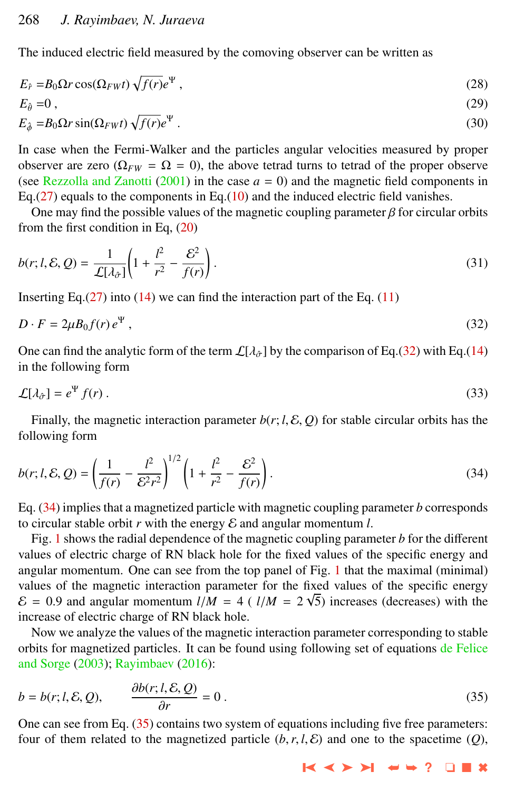<span id="page-5-0"></span>The induced electric field measured by the comoving observer can be written as

$$
E_{\hat{r}} = B_0 \Omega r \cos(\Omega_{FW} t) \sqrt{f(r)} e^{\Psi} , \qquad (28)
$$

$$
E_{\hat{\theta}} = 0, \tag{29}
$$

$$
E_{\hat{\phi}} = B_0 \Omega r \sin(\Omega_{FW} t) \sqrt{f(r)} e^{\Psi} . \tag{30}
$$

In case when the Fermi-Walker and the particles angular velocities measured by proper observer are zero ( $\Omega_{FW} = \Omega = 0$ ), the above tetrad turns to tetrad of the proper observe (see [Rezzolla and Zanotti](#page-13-0) [\(2001\)](#page-13-0) in the case  $a = 0$ ) and the magnetic field components in Eq.[\(27\)](#page-4-0) equals to the components in Eq.[\(10\)](#page-2-0) and the induced electric field vanishes.

One may find the possible values of the magnetic coupling parameter  $\beta$  for circular orbits from the first condition in Eq, [\(20\)](#page-4-0)

$$
b(r;l,\mathcal{E},Q) = \frac{1}{\mathcal{L}[\lambda_{\partial}]} \left( 1 + \frac{l^2}{r^2} - \frac{\mathcal{E}^2}{f(r)} \right). \tag{31}
$$

Inserting Eq. $(27)$  into  $(14)$  we can find the interaction part of the Eq.  $(11)$ 

$$
D \cdot F = 2\mu B_0 f(r) e^{\Psi} , \qquad (32)
$$

One can find the analytic form of the term  $\mathcal{L}[\lambda_{\hat{\sigma}}]$  by the comparison of Eq.(32) with Eq.[\(14\)](#page-3-0) in the following form

$$
\mathcal{L}[\lambda_{\hat{\sigma}}] = e^{\Psi} f(r) \,. \tag{33}
$$

Finally, the magnetic interaction parameter  $b(r; l, \mathcal{E}, Q)$  for stable circular orbits has the following form

$$
b(r; l, \mathcal{E}, Q) = \left(\frac{1}{f(r)} - \frac{l^2}{\mathcal{E}^2 r^2}\right)^{1/2} \left(1 + \frac{l^2}{r^2} - \frac{\mathcal{E}^2}{f(r)}\right).
$$
 (34)

Eq. (34) implies that a magnetized particle with magnetic coupling parameter *b* corresponds to circular stable orbit  $r$  with the energy  $\mathcal E$  and angular momentum  $l$ .

Fig. [1](#page-6-0) shows the radial dependence of the magnetic coupling parameter *b* for the different values of electric charge of RN black hole for the fixed values of the specific energy and angular momentum. One can see from the top panel of Fig. [1](#page-6-0) that the maximal (minimal) values of the magnetic interaction parameter for the fixed values of the specific energy  $\mathcal{E} = 0.9$  and angular momentum  $l/M = 4$  ( $l/M = 2\sqrt{5}$ ) increases (decreases) with the increase of electric charge of RN black hole. increase of electric charge of RN black hole.

Now we analyze the values of the magnetic interaction parameter corresponding to stable orbits for magnetized particles. It can be found using following set of equations [de Felice](#page-11-0) [and Sorge](#page-11-0) [\(2003\)](#page-11-0); [Rayimbaev](#page-12-0) [\(2016\)](#page-12-0):

$$
b = b(r; l, \mathcal{E}, Q), \qquad \frac{\partial b(r; l, \mathcal{E}, Q)}{\partial r} = 0.
$$
\n(35)

 $\frac{\partial r}{\partial t}$ One can see from Eq. (35) contains two system of equations including five free parameters: four of them related to the magnetized particle  $(b, r, l, \mathcal{E})$  and one to the spacetime  $(O)$ ,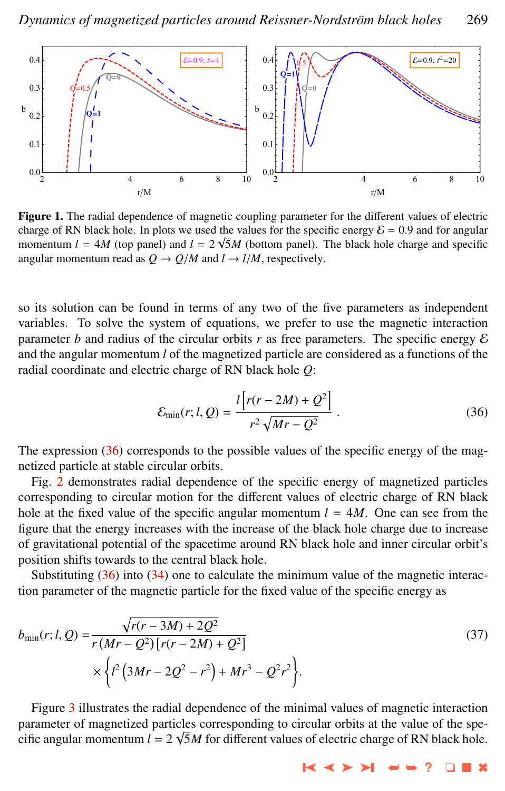<span id="page-6-0"></span>

Figure 1. The radial dependence of magnetic coupling parameter for the different values of electric charge of RN black hole. In plots we used the values for the specific energy  $\mathcal{E} = 0.9$  and for angular momentum  $I = AM$  (top panel) and  $I = 2\sqrt{5}M$  (bottom panel). The black hole charge and specific momentum  $l = 4M$  (top panel) and  $l = 2\sqrt{5}M$  (bottom panel). The black hole charge and specific angular momentum read as  $Q \rightarrow Q/M$  and  $l \rightarrow l/M$ , respectively.

so its solution can be found in terms of any two of the five parameters as independent variables. To solve the system of equations, we prefer to use the magnetic interaction parameter *b* and radius of the circular orbits *r* as free parameters. The specific energy  $\mathcal E$ and the angular momentum *l* of the magnetized particle are considered as a functions of the radial coordinate and electric charge of RN black hole *Q*:

$$
\mathcal{E}_{\min}(r; l, Q) = \frac{l \left[ r(r - 2M) + Q^2 \right]}{r^2 \sqrt{Mr - Q^2}}.
$$
\n(36)

The expression (36) corresponds to the possible values of the specific energy of the magnetized particle at stable circular orbits.

Fig. [2](#page-7-0) demonstrates radial dependence of the specific energy of magnetized particles corresponding to circular motion for the different values of electric charge of RN black hole at the fixed value of the specific angular momentum  $l = 4M$ . One can see from the figure that the energy increases with the increase of the black hole charge due to increase of gravitational potential of the spacetime around RN black hole and inner circular orbit's position shifts towards to the central black hole.

Substituting (36) into [\(34\)](#page-5-0) one to calculate the minimum value of the magnetic interaction parameter of the magnetic particle for the fixed value of the specific energy as

$$
b_{\min}(r; l, Q) = \frac{\sqrt{r(r - 3M) + 2Q^2}}{r(Mr - Q^2)[r(r - 2M) + Q^2]} \times \left\{ l^2 \left( 3Mr - 2Q^2 - r^2 \right) + Mr^3 - Q^2r^2 \right\}.
$$
\n(37)

Figure [3](#page-7-0) illustrates the radial dependence of the minimal values of magnetic interaction parameter of magnetized particles corresponding to circular orbits at the value of the specific angular momentum  $l = 2 \sqrt{5M}$  for different values of electric charge of RN black hole.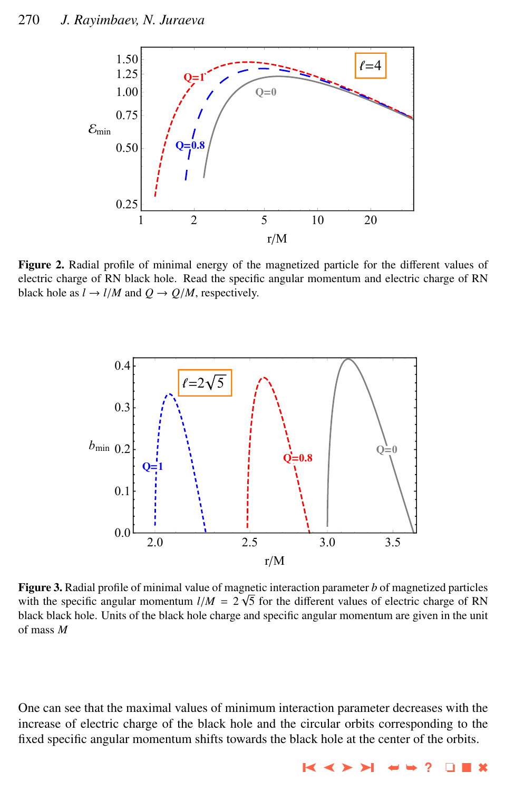<span id="page-7-0"></span>

Figure 2. Radial profile of minimal energy of the magnetized particle for the different values of electric charge of RN black hole. Read the specific angular momentum and electric charge of RN black hole as  $l \rightarrow l/M$  and  $Q \rightarrow Q/M$ , respectively.



**Figure 3.** Radial profile of minimal value of magnetic interaction parameter *b* of magnetized particles with the specific angular momentum  $l/M = 2\sqrt{5}$  for the different values of electric charge of RN<br>black black hole. Units of the black hole charge and specific angular momentum are given in the unit black black hole. Units of the black hole charge and specific angular momentum are given in the unit of mass *M*

One can see that the maximal values of minimum interaction parameter decreases with the increase of electric charge of the black hole and the circular orbits corresponding to the fixed specific angular momentum shifts towards the black hole at the center of the orbits.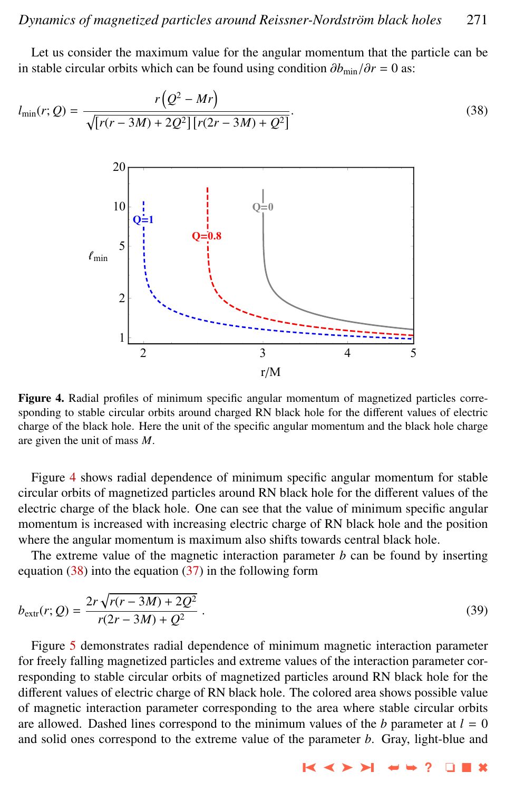<span id="page-8-0"></span>Let us consider the maximum value for the angular momentum that the particle can be in stable circular orbits which can be found using condition  $\partial b_{\text{min}}/\partial r = 0$  as:

$$
l_{\min}(r; Q) = \frac{r(Q^2 - Mr)}{\sqrt{[r(r - 3M) + 2Q^2][r(2r - 3M) + Q^2]}}.
$$
\n(38)



Figure 4. Radial profiles of minimum specific angular momentum of magnetized particles corresponding to stable circular orbits around charged RN black hole for the different values of electric charge of the black hole. Here the unit of the specific angular momentum and the black hole charge are given the unit of mass *M*.

Figure 4 shows radial dependence of minimum specific angular momentum for stable circular orbits of magnetized particles around RN black hole for the different values of the electric charge of the black hole. One can see that the value of minimum specific angular momentum is increased with increasing electric charge of RN black hole and the position where the angular momentum is maximum also shifts towards central black hole.

The extreme value of the magnetic interaction parameter *b* can be found by inserting equation  $(38)$  into the equation  $(37)$  in the following form

$$
b_{\text{extr}}(r; Q) = \frac{2r\sqrt{r(r - 3M) + 2Q^2}}{r(2r - 3M) + Q^2} \,. \tag{39}
$$

Figure [5](#page-9-0) demonstrates radial dependence of minimum magnetic interaction parameter for freely falling magnetized particles and extreme values of the interaction parameter corresponding to stable circular orbits of magnetized particles around RN black hole for the different values of electric charge of RN black hole. The colored area shows possible value of magnetic interaction parameter corresponding to the area where stable circular orbits are allowed. Dashed lines correspond to the minimum values of the *b* parameter at  $l = 0$ and solid ones correspond to the extreme value of the parameter *b*. Gray, light-blue and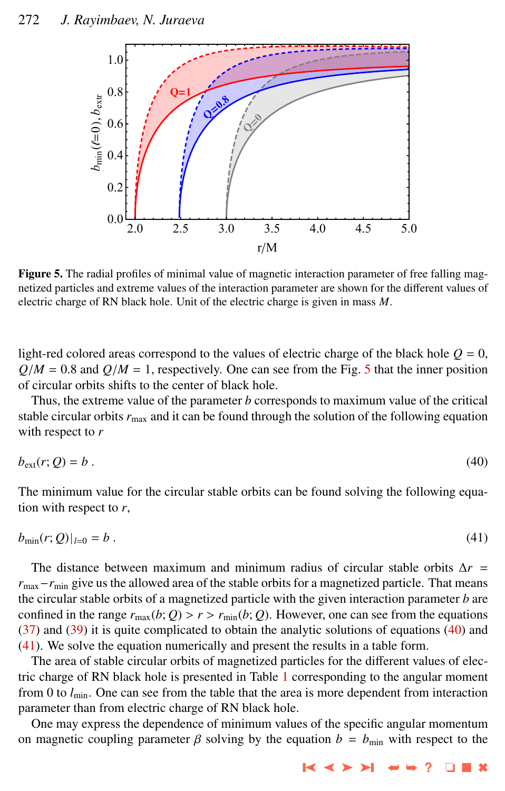<span id="page-9-0"></span>

Figure 5. The radial profiles of minimal value of magnetic interaction parameter of free falling magnetized particles and extreme values of the interaction parameter are shown for the different values of electric charge of RN black hole. Unit of the electric charge is given in mass *M*.

light-red colored areas correspond to the values of electric charge of the black hole  $Q = 0$ ,  $Q/M = 0.8$  and  $Q/M = 1$ , respectively. One can see from the Fig. 5 that the inner position of circular orbits shifts to the center of black hole.

Thus, the extreme value of the parameter *b* corresponds to maximum value of the critical stable circular orbits  $r_{\text{max}}$  and it can be found through the solution of the following equation with respect to *r*

$$
b_{\text{ext}}(r; Q) = b \tag{40}
$$

The minimum value for the circular stable orbits can be found solving the following equation with respect to *r*,

$$
b_{\min}(r;Q)|_{l=0} = b \ . \tag{41}
$$

The distance between maximum and minimum radius of circular stable orbits ∆*r* = *r*<sub>max</sub>−*r*<sub>min</sub> give us the allowed area of the stable orbits for a magnetized particle. That means the circular stable orbits of a magnetized particle with the given interaction parameter *b* are confined in the range  $r_{\text{max}}(b; Q) > r > r_{\text{min}}(b; Q)$ . However, one can see from the equations  $(37)$  and  $(39)$  it is quite complicated to obtain the analytic solutions of equations  $(40)$  and (41). We solve the equation numerically and present the results in a table form.

The area of stable circular orbits of magnetized particles for the different values of electric charge of RN black hole is presented in Table [1](#page-10-0) corresponding to the angular moment from 0 to  $l_{\text{min}}$ . One can see from the table that the area is more dependent from interaction parameter than from electric charge of RN black hole.

One may express the dependence of minimum values of the specific angular momentum on magnetic coupling parameter  $\beta$  solving by the equation  $b = b_{\text{min}}$  with respect to the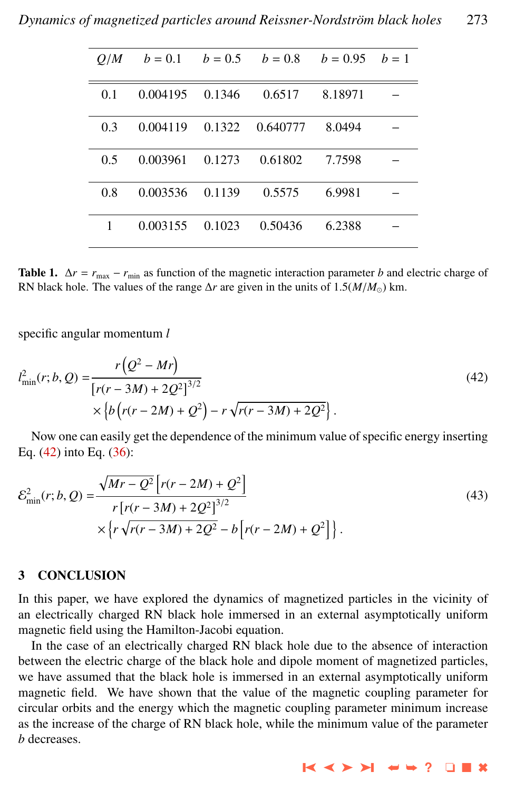<span id="page-10-0"></span>

| O/M | $b = 0.1$ |        | $b = 0.5$ $b = 0.8$ | $b = 0.95$ $b = 1$ |  |
|-----|-----------|--------|---------------------|--------------------|--|
| 0.1 | 0.004195  | 0.1346 | 0.6517              | 8.18971            |  |
| 0.3 | 0.004119  | 0.1322 | 0.640777            | 8.0494             |  |
| 0.5 | 0.003961  | 0.1273 | 0.61802             | 7.7598             |  |
| 0.8 | 0.003536  | 0.1139 | 0.5575              | 6.9981             |  |
| 1   | 0.003155  | 0.1023 | 0.50436             | 6.2388             |  |

Table 1.  $\Delta r = r_{\text{max}} - r_{\text{min}}$  as function of the magnetic interaction parameter *b* and electric charge of RN black hole. The values of the range  $\Delta r$  are given in the units of 1.5( $M/M_{\odot}$ ) km.

specific angular momentum *l*

$$
l_{\min}^2(r; b, Q) = \frac{r(Q^2 - Mr)}{[r(r - 3M) + 2Q^2]^{3/2}} \times \left\{ b\left(r(r - 2M) + Q^2\right) - r\sqrt{r(r - 3M) + 2Q^2} \right\}.
$$
\n(42)

Now one can easily get the dependence of the minimum value of specific energy inserting Eq. (42) into Eq. [\(36\)](#page-6-0):

$$
\mathcal{E}_{\min}^{2}(r; b, Q) = \frac{\sqrt{Mr - Q^{2}} \left[r(r - 2M) + Q^{2}\right]}{r \left[r(r - 3M) + 2Q^{2}\right]^{3/2}} \times \left\{r\sqrt{r(r - 3M) + 2Q^{2}} - b\left[r(r - 2M) + Q^{2}\right]\right\}.
$$
\n(43)

## 3 CONCLUSION

In this paper, we have explored the dynamics of magnetized particles in the vicinity of an electrically charged RN black hole immersed in an external asymptotically uniform magnetic field using the Hamilton-Jacobi equation.

In the case of an electrically charged RN black hole due to the absence of interaction between the electric charge of the black hole and dipole moment of magnetized particles, we have assumed that the black hole is immersed in an external asymptotically uniform magnetic field. We have shown that the value of the magnetic coupling parameter for circular orbits and the energy which the magnetic coupling parameter minimum increase as the increase of the charge of RN black hole, while the minimum value of the parameter *b* decreases.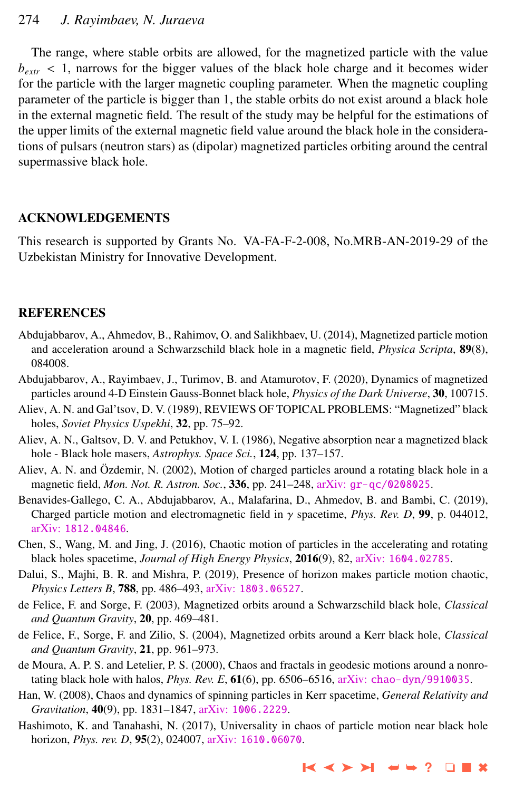## <span id="page-11-0"></span>274 *J. Rayimbaev, N. Juraeva*

The range, where stable orbits are allowed, for the magnetized particle with the value  $b_{\text{extr}}$  < 1, narrows for the bigger values of the black hole charge and it becomes wider for the particle with the larger magnetic coupling parameter. When the magnetic coupling parameter of the particle is bigger than 1, the stable orbits do not exist around a black hole in the external magnetic field. The result of the study may be helpful for the estimations of the upper limits of the external magnetic field value around the black hole in the considerations of pulsars (neutron stars) as (dipolar) magnetized particles orbiting around the central supermassive black hole.

## ACKNOWLEDGEMENTS

This research is supported by Grants No. VA-FA-F-2-008, No.MRB-AN-2019-29 of the Uzbekistan Ministry for Innovative Development.

### REFERENCES

- Abdujabbarov, A., Ahmedov, B., Rahimov, O. and Salikhbaev, U. (2014), Magnetized particle motion and acceleration around a Schwarzschild black hole in a magnetic field, *Physica Scripta*, 89(8), 084008.
- Abdujabbarov, A., Rayimbaev, J., Turimov, B. and Atamurotov, F. (2020), Dynamics of magnetized particles around 4-D Einstein Gauss-Bonnet black hole, *Physics of the Dark Universe*, 30, 100715.
- Aliev, A. N. and Gal'tsov, D. V. (1989), REVIEWS OF TOPICAL PROBLEMS: "Magnetized" black holes, *Soviet Physics Uspekhi*, 32, pp. 75–92.
- Aliev, A. N., Galtsov, D. V. and Petukhov, V. I. (1986), Negative absorption near a magnetized black hole - Black hole masers, *Astrophys. Space Sci.*, 124, pp. 137–157.
- Aliev, A. N. and Özdemir, N. (2002), Motion of charged particles around a rotating black hole in a magnetic field, *Mon. Not. R. Astron. Soc.*, 336, pp. 241–248, arXiv: [gr-qc/0208025](http://www.arxiv.org/abs/gr-qc/0208025).
- Benavides-Gallego, C. A., Abdujabbarov, A., Malafarina, D., Ahmedov, B. and Bambi, C. (2019), Charged particle motion and electromagnetic field in γ spacetime, *Phys. Rev. D*, <sup>99</sup>, p. 044012, arXiv: [1812.04846](http://www.arxiv.org/abs/1812.04846).
- Chen, S., Wang, M. and Jing, J. (2016), Chaotic motion of particles in the accelerating and rotating black holes spacetime, *Journal of High Energy Physics*, 2016(9), 82, arXiv: [1604.02785](http://www.arxiv.org/abs/1604.02785).
- Dalui, S., Majhi, B. R. and Mishra, P. (2019), Presence of horizon makes particle motion chaotic, *Physics Letters B*, 788, pp. 486–493, arXiv: [1803.06527](http://www.arxiv.org/abs/1803.06527).
- de Felice, F. and Sorge, F. (2003), Magnetized orbits around a Schwarzschild black hole, *Classical and Quantum Gravity*, 20, pp. 469–481.
- de Felice, F., Sorge, F. and Zilio, S. (2004), Magnetized orbits around a Kerr black hole, *Classical and Quantum Gravity*, 21, pp. 961–973.
- de Moura, A. P. S. and Letelier, P. S. (2000), Chaos and fractals in geodesic motions around a nonrotating black hole with halos, *Phys. Rev. E*, 61(6), pp. 6506–6516, arXiv: [chao-dyn/9910035](http://www.arxiv.org/abs/chao-dyn/9910035).
- Han, W. (2008), Chaos and dynamics of spinning particles in Kerr spacetime, *General Relativity and Gravitation*, 40(9), pp. 1831–1847, arXiv: [1006.2229](http://www.arxiv.org/abs/1006.2229).
- Hashimoto, K. and Tanahashi, N. (2017), Universality in chaos of particle motion near black hole horizon, *Phys. rev. D*, 95(2), 024007, arXiv: [1610.06070](http://www.arxiv.org/abs/1610.06070).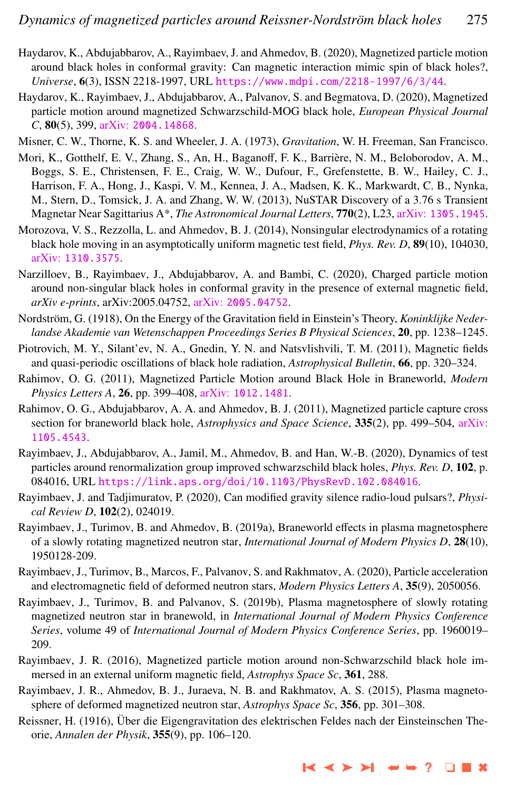- <span id="page-12-0"></span>Haydarov, K., Abdujabbarov, A., Rayimbaev, J. and Ahmedov, B. (2020), Magnetized particle motion around black holes in conformal gravity: Can magnetic interaction mimic spin of black holes?, *Universe*, 6(3), ISSN 2218-1997, URL <https://www.mdpi.com/2218-1997/6/3/44>.
- Haydarov, K., Rayimbaev, J., Abdujabbarov, A., Palvanov, S. and Begmatova, D. (2020), Magnetized particle motion around magnetized Schwarzschild-MOG black hole, *European Physical Journal C*, 80(5), 399, arXiv: [2004.14868](http://www.arxiv.org/abs/2004.14868).
- Misner, C. W., Thorne, K. S. and Wheeler, J. A. (1973), *Gravitation*, W. H. Freeman, San Francisco.
- Mori, K., Gotthelf, E. V., Zhang, S., An, H., Baganoff, F. K., Barrière, N. M., Beloborodov, A. M., Boggs, S. E., Christensen, F. E., Craig, W. W., Dufour, F., Grefenstette, B. W., Hailey, C. J., Harrison, F. A., Hong, J., Kaspi, V. M., Kennea, J. A., Madsen, K. K., Markwardt, C. B., Nynka, M., Stern, D., Tomsick, J. A. and Zhang, W. W. (2013), NuSTAR Discovery of a 3.76 s Transient Magnetar Near Sagittarius A\*, *The Astronomical Journal Letters*, 770(2), L23, arXiv: [1305.1945](http://www.arxiv.org/abs/1305.1945).
- Morozova, V. S., Rezzolla, L. and Ahmedov, B. J. (2014), Nonsingular electrodynamics of a rotating black hole moving in an asymptotically uniform magnetic test field, *Phys. Rev. D*, 89(10), 104030, arXiv: [1310.3575](http://www.arxiv.org/abs/1310.3575).
- Narzilloev, B., Rayimbaev, J., Abdujabbarov, A. and Bambi, C. (2020), Charged particle motion around non-singular black holes in conformal gravity in the presence of external magnetic field, *arXiv e-prints*, arXiv:2005.04752, arXiv: [2005.04752](http://www.arxiv.org/abs/2005.04752).
- Nordström, G. (1918), On the Energy of the Gravitation field in Einstein's Theory, *Koninklijke Nederlandse Akademie van Wetenschappen Proceedings Series B Physical Sciences*, 20, pp. 1238–1245.
- Piotrovich, M. Y., Silant'ev, N. A., Gnedin, Y. N. and Natsvlishvili, T. M. (2011), Magnetic fields and quasi-periodic oscillations of black hole radiation, *Astrophysical Bulletin*, 66, pp. 320–324.
- Rahimov, O. G. (2011), Magnetized Particle Motion around Black Hole in Braneworld, *Modern Physics Letters A*, 26, pp. 399–408, arXiv: [1012.1481](http://www.arxiv.org/abs/1012.1481).
- Rahimov, O. G., Abdujabbarov, A. A. and Ahmedov, B. J. (2011), Magnetized particle capture cross section for braneworld black hole, *Astrophysics and Space Science*, 335(2), pp. 499–504, [arXiv:](http://www.arxiv.org/abs/1105.4543) [1105.4543](http://www.arxiv.org/abs/1105.4543).
- Rayimbaev, J., Abdujabbarov, A., Jamil, M., Ahmedov, B. and Han, W.-B. (2020), Dynamics of test particles around renormalization group improved schwarzschild black holes, *Phys. Rev. D*, 102, p. 084016, URL <https://link.aps.org/doi/10.1103/PhysRevD.102.084016>.
- Rayimbaev, J. and Tadjimuratov, P. (2020), Can modified gravity silence radio-loud pulsars?, *Physical Review D*, 102(2), 024019.
- Rayimbaev, J., Turimov, B. and Ahmedov, B. (2019a), Braneworld effects in plasma magnetosphere of a slowly rotating magnetized neutron star, *International Journal of Modern Physics D*, 28(10), 1950128-209.
- Rayimbaev, J., Turimov, B., Marcos, F., Palvanov, S. and Rakhmatov, A. (2020), Particle acceleration and electromagnetic field of deformed neutron stars, *Modern Physics Letters A*, 35(9), 2050056.
- Rayimbaev, J., Turimov, B. and Palvanov, S. (2019b), Plasma magnetosphere of slowly rotating magnetized neutron star in branewold, in *International Journal of Modern Physics Conference Series*, volume 49 of *International Journal of Modern Physics Conference Series*, pp. 1960019– 209.
- Rayimbaev, J. R. (2016), Magnetized particle motion around non-Schwarzschild black hole immersed in an external uniform magnetic field, *Astrophys Space Sc*, 361, 288.
- Rayimbaev, J. R., Ahmedov, B. J., Juraeva, N. B. and Rakhmatov, A. S. (2015), Plasma magnetosphere of deformed magnetized neutron star, *Astrophys Space Sc*, 356, pp. 301–308.
- Reissner, H. (1916), Uber die Eigengravitation des elektrischen Feldes nach der Einsteinschen The- ¨ orie, *Annalen der Physik*, 355(9), pp. 106–120.